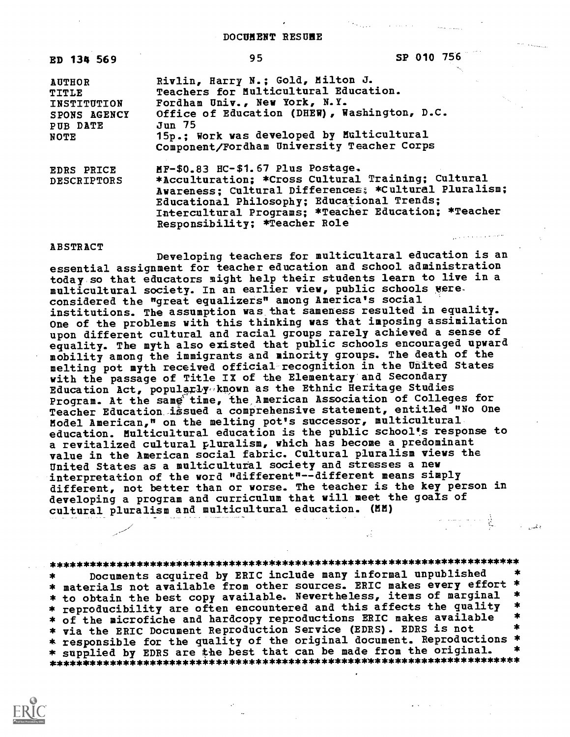DOCUMENT RESUME

| <b>ED 134 569</b>                                                                | 95                                                                                                                                                                                                                                                                                       | SP 010 756 |
|----------------------------------------------------------------------------------|------------------------------------------------------------------------------------------------------------------------------------------------------------------------------------------------------------------------------------------------------------------------------------------|------------|
| <b>AUTHOR</b><br>TITLE<br>INSTITUTION<br>SPONS AGENCY<br>PUB DATE<br><b>NOTE</b> | Rivlin, Harry N.; Gold, Milton J.<br>Teachers for Multicultural Education.<br>Fordham Univ., New York, N.Y.<br>Office of Education (DHEW), Washington, D.C.<br>Jun 75<br>15p.; Work was developed by Multicultural<br>Component/Fordham University Teacher Corps                         |            |
| <b>EDRS PRICE</b><br><b>DESCRIPTORS</b>                                          | MF-\$0.83 HC-\$1.67 Plus Postage.<br>*Acculturation; *Cross Cultural Training; Cultural<br>Awareness; Cultural Differences; *Cultural Pluralism;<br>Educational Philosophy; Educational Trends;<br>Intercultural Programs; *Teacher Education; *Teacher<br>Responsibility; *Teacher Role |            |

ABSTRACT

Developing teachers for multicultural education is an essential assignment for teacher education and school administration today so that educators might help their students learn to live in a multicultural society. In an earlier view, public schools vere. considered the "great equalizers" among America's social institutions. The assumption was that sameness resulted in equality. One of the problems with this thinking was that imposing assimilation upon different cultural and racial groups rarely achieved a sense of equality. The myth also existed that public schools encouraged upward mobility among the immigrants and minority groups. The death of the melting pot myth received official recognition in the United States with the passage of Title IX of the Elementary and Secondary Education Act, populaxly,,known as the Ethnic Heritage Studies Program. At the same' time, the American Association of Colleges for Teacher Education issued a comprehensive statement, entitled "No One Model American," on the melting pot's successor, multicultural education. Multicultural education is the public school's response to a revitalized cultural pluralism, which has become a predominant value in the American social fabric. Cultural pluralism views the United States as a multicultural society and stresses a new interpretation of the word "different"--different means simply different, not better than or worse. The teacher is the key person in developing a program and curriculum that will meet the goals of cultural pluralism and multicultural education. (MM)  $\frac{1}{2} \left( \frac{1}{2} \right)^{2} \left( \frac{1}{2} \right)^{2} \left( \frac{1}{2} \right)^{2} \left( \frac{1}{2} \right)^{2} \left( \frac{1}{2} \right)^{2} \left( \frac{1}{2} \right)^{2} \left( \frac{1}{2} \right)^{2} \left( \frac{1}{2} \right)^{2} \left( \frac{1}{2} \right)^{2} \left( \frac{1}{2} \right)^{2} \left( \frac{1}{2} \right)^{2} \left( \frac{1}{2} \right)^{2} \left( \frac{1}{2} \right)^{2} \left( \frac$ 

\*\*\*\*\*\*\*\*\*\*\*\*\*\*\*\*\*\*\*\*\*\*\*\*\*\*\*\*\*\*\*\*\*\*\*\*\*\*\*\*\*\*\*\*\*\*\*\*\*\*\*\*\*\*\*\*\*\*\*\*\*\*\*\*\*\*\*\*\*\*\* Documents acquired by ERIC include many informal unpublished \* materials not available from other sources. ERIC makes every effort \* \* to obtain the best copy available. Nevertheless, items of marginal \*<br>\* reproducibility are often encountered and this affects the quality \*<br>\* of the microfiche and hardcopy reproductions ERIC makes available \* \* via the ERIC Document Reproduction Service (EDRS). EDRS is not \* responsible for the quality of the original document. Reproductions \* \* supplied by EDRS are the best that can be made from the original. \*\*\*\*\*\*\*\*\*\*\*\*\*\*\*\*\*\*\*\*\*\*\*ic\*\*\*\*\*\*\*\*\*\*\*\*\*\*\*\*\*\*\*\*\*\*\*\*\*\*\*\*\*\*\*\*\*\*\*\*\*\*\*\*\*\*\*\*\*\*\*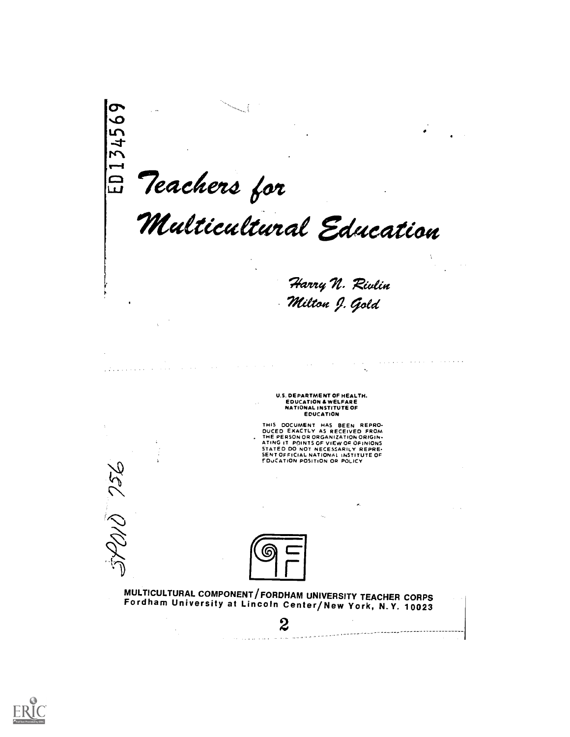$\sigma$  and  $\sigma$ Teachers for Multicultural Education Harry N. Rivlin Milton J. Gold , which is a simple polarization of the set of  $\mathcal{A}$  , where  $\mathcal{A}$  $\mathcal{L}_{\mathcal{A}}$  is a subset of the set of the set of the set of the  $\mathcal{L}_{\mathcal{A}}$ المتعاقب والمتحدث U.S. DEPARTMENT OF HEALTH.<br>EDUCATION & WELFARE<br>NATIONAL INSTITUTE OF<br>EDUCATION THIS DOCUMENT HAS BEEN REPRO-<br>DUCED EXACTLY AS RECEIVED FROM<br>THE PERSONOR ORGANIZATION ORIGIN-<br>ATING IT POINTS OF VIEW OF OFINIONS<br>STATED DO NOT NECESSARILY REPRE-<br>EENTOFFICIAL NATIONN: INSTITUTE OF<br>FOUCATION POSITION OR P 756  $1177$ MULTICULTURAL COMPONENT/FORDHAM UNIVERSITY TEACHER CORPS Fordham University at Lincoln Center/New York, N.Y. 10023 2

ومتسامين والمستحدث والمتعارض والمتعارض والمتناور

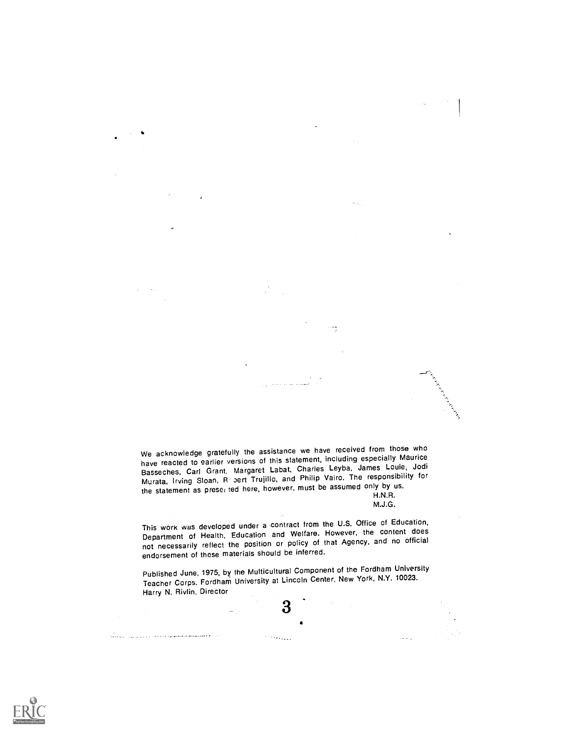We acknowledge gratefully the assistance we have received from those who have reacted to earlier versions of this statement, including especially Maurice Basseches, Carl Grant. Margaret Labat, Charles Leyba, James Louie, Jodi Murata, Irving Sloan, R pert Trujillo, and Philip Vairo. The responsibility for the statement as preser ted here, however, must be assumed only by us. H.N.R.

M.J.G.

 $\bar{\beta}$  ,  $\bar{\beta}$ 

 $\omega_{\rm{max}}$ 

This work was developed under a contract from the U.S. Office of Education, Department of Health, Education and Welfare. However, the content does not necessarily reflect the position or policy of that Agency, and no official endorsement of these materials should be inferred.

Published June, 1975, by the Multicultural Component of the Fordham University Teacher Corps. Fordham University at Lincoln Center, New York, N.Y. 10023. Harry N. Rivlin, Director

3

 $\gamma$  ,  $\gamma$  ,  $\gamma$  ,  $\gamma$ 

and a strong state of the contract complete construction of the first

 $\bullet$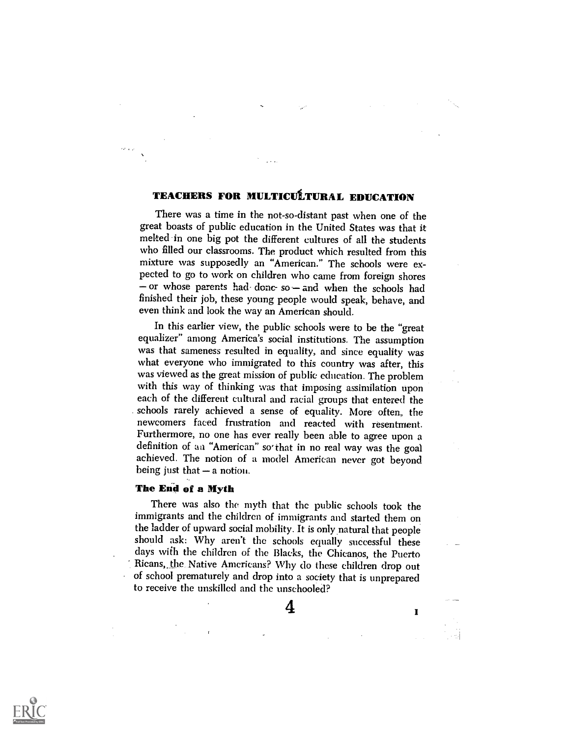# TEACHERS FOR MULTICULTURAL EDUCATION

There was a time in the not-so-distant past when one of the great boasts of public education in the United States was that it melted in one big pot the different cultures of all the students who filled our classrooms. The product which resulted from this mixture was supposedly an "American." The schools were expected to go to work on children who came from foreign shores  $-$  or whose parents had-donc-so $-$  and when the schools had finished their job, these young people would speak, behave, and even think and look the way an American should.

In this earlier view, the public schools were to be the "great equalizer" among America's social institutions. The assumption was that sameness resulted in equality, and since equality was what everyone who immigrated to this country was after, this was viewed as the great mission of public education. The problem with this way of thinking was that imposing assimilation upon each of the different cultural and racial groups that entered the schools rarely achieved a sense of equality. More often, the newcomers faced frustration and reacted with resentment. Furthermore, no one has ever really been able to agree upon a definition of an "American" sothat in no real way was the goal achieved. The notion of a model American never got beyond being just that  $-$  a notion.

## The End of a Myth

There was also the myth that the public schools took the immigrants and the children of immigrants and started them on the ladder of upward social mobility. It is only,natural that people should ask: Why aren't the schools equally successful these days with the children of the Blacks, the Chicanos, the Puerto Ricans,. the Native Americans? Why do these children drop out of school prematurely and drop into a society that is unprepared to receive the unskilled and the unschooled?

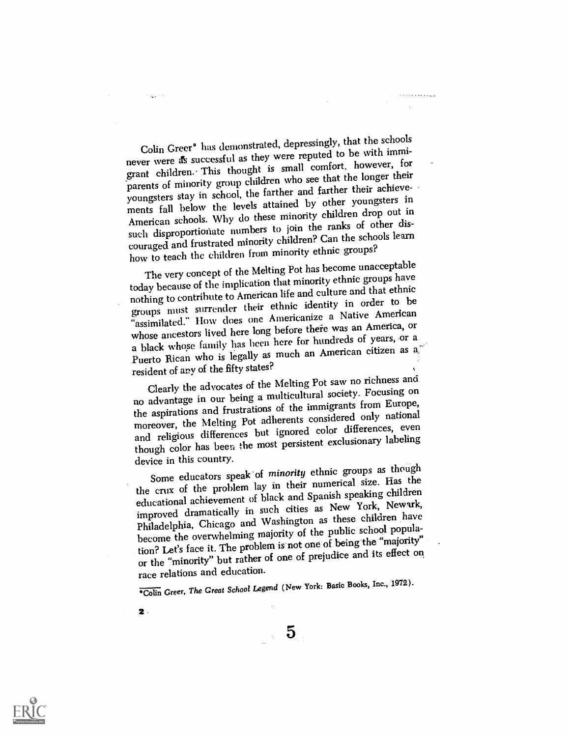Colin Greer° has demonstrated, depressingly, that the schools never were as successful as they were reputed to be with immigrant children.- This thought is small comfort, however, for parents of minority group children who see that the longer their youngsters stay in school, the farther and farther their achievements fall below the levels attained by other youngsters in American schools. Why do these minority children drop out in such disproportionate numbers to join the ranks of other discouraged and frustrated minority children? Can the schools learn how to teach the children from minority ethnic groups?

The very concept of the Melting Pot has become unacceptable today because of the implication that minority ethnic groups have nothing to contribute to American life and culture and that ethnic groups must surrender their ethnic identity in order to be "assimilated." How does one Americanize a Native American whose ancestors lived here long before there was an America, or a black whose family has been here for hundreds of years, or a Puerto Rican who is legally as much an American citizen as a resident of any of the fifty states?

Clearly the advocates of the Melting Pot saw no richness and no advantage in our being a multicultural society. Focusing on the aspirations and frustrations of the immigrants from Europe, moreover, the Melting Pot adherents considered only national and religious differences but ignored color differences, even though color has been the most persistent exclusionary labeling device in this country.

Some educators speak of minority ethnic groups as though the crux of the problem lay in their numerical size. Has the educational achievement of black and Spanish speaking children improved dramatically in such cities as New York, Newark, Philadelphia, Chicago and Washington as these children have become the overwhelming majority of the public school population? Let's face it. The problem is-not one of being the "majority" or the "minority" but rather of one of prejudice and its effect on race relations and education.

°Colin Greer, The Great School Legend (New York: Basic Books, Inc., 1972).

 $5\overline{)}$ 

 $2$ 

 $\sim$   $\mu_{\rm A}$  and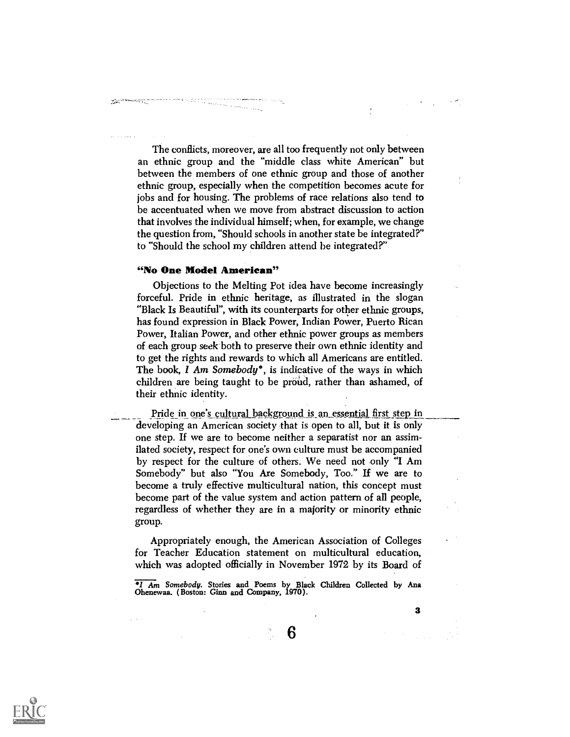The conflicts, moreover, are all too frequently not only between an ethnic group and the "middle class white American" but between the members of one ethnic group and those of another ethnic group, especially when the competition becomes acute for jobs and for housing. The problems of race relations also tend to be accentuated when we move from abstract discussion to action that involves the individual himself; when, for example, we change the question from, "Should schools in another state be integrated?" to "Should the school my children attend be integrated?"

#### "No One Model American"

المستوفية والمتحدث المتحدة المتحدة المتحدة المتحدة.<br>المستوفية المحدة المتحدة المتحدة المتحدة المتحدة المتحدة

Objections to the Melting Pot idea have become increasingly forceful. Pride in ethnic heritage, as illustrated in the slogan "Black Is Beautiful", with its counterparts for other ethnic groups, has found expression in Black Power, Indian Power, Puerto Rican Power, Italian Power, and other ethnic power groups as members of each group seek-both to preserve their own ethnic identity and to get the rights and rewards to which all Americans are entitled. The book, I Am Somebody<sup>°</sup>, is indicative of the ways in which children are being taught to be proud, rather than ashamed, of their ethnic identity.

Pride in one's cultural background is an essential first step in developing an American society that is open to all, but it is only one step. If we are to become neither a separatist nor an assimilated society, respect for one's own culture must be accompanied by respect for the culture of others. We need not only "I Am Somebody" but also "You Are Somebody, Too." If we are to become a truly effective multicultural nation, this concept must become part of the value system and action pattern of all people, regardless of whether they are in a majority or minority ethnic group.

Appropriately enough, the American Association of Colleges for Teacher Education statement on multicultural education, which was adopted officially in November 1972 by its Board of

I Am Somebody. Stories and Poems by Black Children Collected by Ana Ohenewaa. (Boston: Ginn and Company, 1970).

6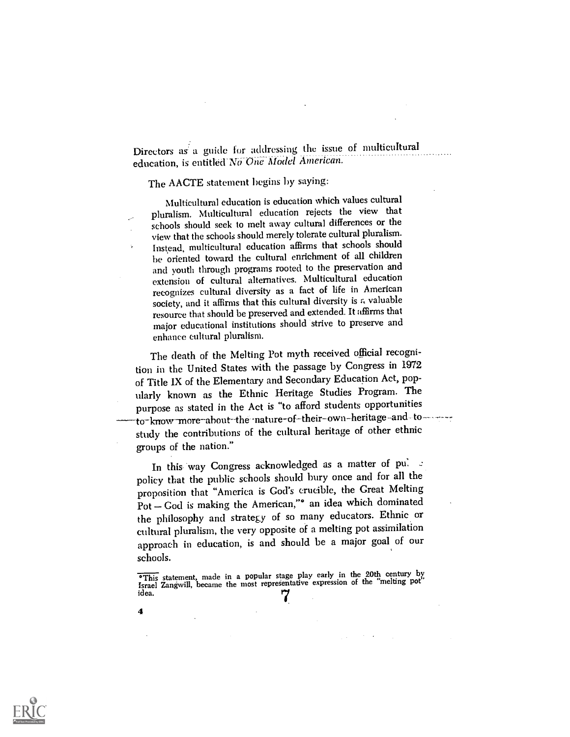Directors as a guide for addressing the issue of multicultural education, is entitled No One Model American.

## The AACTE statement begins by saying:

Multicultural education is education which values cultural pluralism. Multicultural education rejects the view that schools should seek to melt away cultural differences or the view that the schools should merely tolerate cultural pluralism. Instead, multicultural education affirms that schools should be oriented toward the cultural enrichment of all children and youth through programs rooted to the preservation and extension of cultural alternatives. Multicultural education recognizes cultural diversity as a fact of life in American society, and it affirms that this cultural diversity is  $\kappa$  valuable resource that should be preserved and extended. It affirms that major educational institutions should strive to preserve and enhance cultural pluralism.

The death of the Melting Pot myth received official recognition in the United States with the passage by Congress in 1972 of Title IX of the Elementary and Secondary Education Act, popularly known as the Ethnic Heritage Studies Program. The purpose as stated in the Act is "to afford students opportunities to-know-more-about-the-nature-of-their-own-heritage-and to------study the contributions of the cultural heritage of other ethnic groups of the nation."

In this way Congress acknowledged as a matter of pulled policy that the public schools should bury once and for all the proposition that "America is God's crucible, the Great Melting Pot - God is making the American," an idea which dominated the philosophy and strategy of so many educators. Etlmic or cultural pluralism, the very opposite of a melting pot assimilation approach in education, is and should be a major goal of our schools.



<sup>&</sup>lt;sup>o</sup>This statement, made in a popular stage play early in the 20th century by Israel Zangwill, became the most representative expression of the "melting pot idea. idea. **7**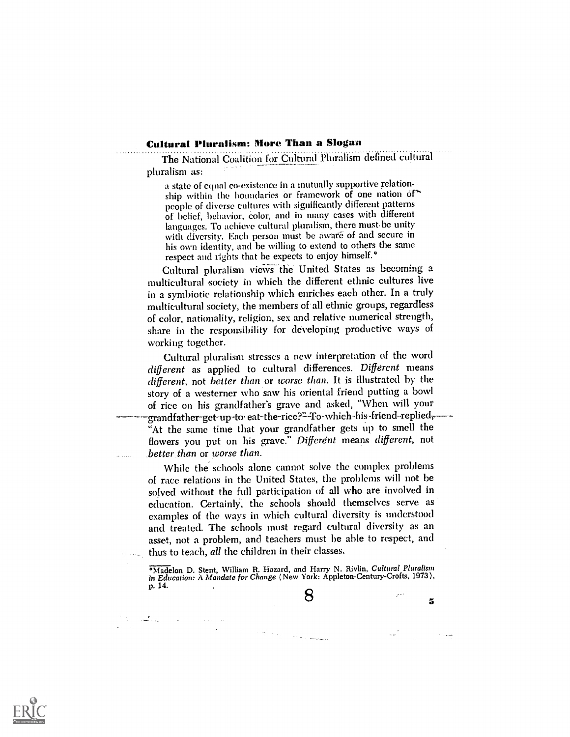#### Cultural Pluralism: More Than a Slogan

The National Coalition for Cultural Pluralism defined cultural pluralism as:

a state of equal co-existence in a mutually supportive relationship within the boundaries or framework of one nation of" people of diverse cultures with significantly different patterns of belief, behavior, color, and in many cases with different languages. To achieve cultural pluralism, there must be unity with diversity. Each person must be aware of and secure in his own identity, and be willing to extend to others the same respect and rights that he expects to enjoy himself.°

Cultural pluralism views the United States as becoming a multicultural society in which the different ethnic cultures live in a symbiotic relationship which enriches each other. In a truly multicultural society, the members of'all ethnic groups, regardless of color, nationality, religion, sex and relative numerical strength, share in the responsibility for developing productive ways of working together.

Cultural pluralism stresses a new interpretation of the word different as applied to cultural differences. Different means different, not better than or worse than. It is illustrated by the story of a westerner who saw his oriental friend putting a bowl of rice on his grandfather's grave and asked, "When will your -grandfather-get-up-to eat-the-rice?"-To-which-his-friend-replied<del>,</del> "At the same time that your grandfather gets up to smell the flowers you put on his grave." Different means different, not better than or worse than.

While the schools alone cannot solve the complex problems of race relations in the United States, the problems will not be solved without the full participation of all who are involved in education. CertainlY, the schools should themselves serve as examples of the ways in which cultural diversity is understood and treated. The schools must regard cultural diversity as an asset, not a problem, and teachers must be able to respect, and thus to teach, all the children in their classes.

°Madelon D. Stent, William R. Hazard, and Harry N. Riylin, Cultural Pluralism in Education: A Mandate for Change (New York: Appleton-Century-Crofts, 1973), p. 14.

8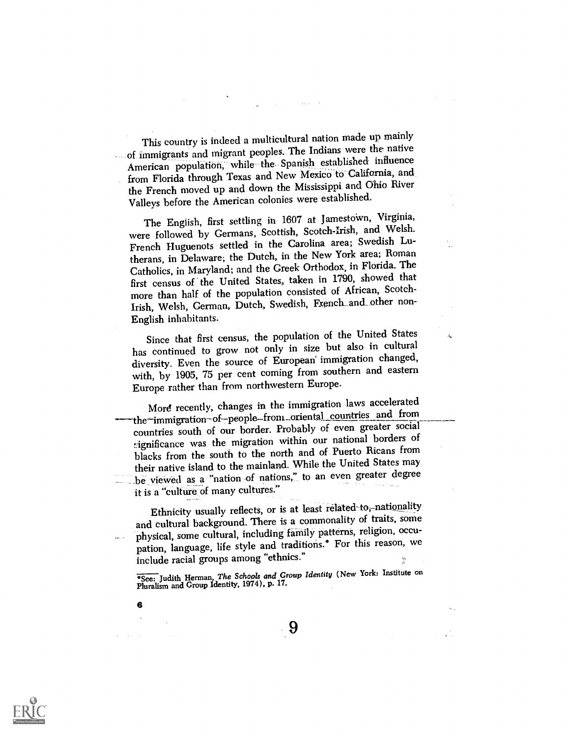This country is indeed a multicultural nation made up mainly of immigrants and migrant peoples. The Indians were the native American population, while the Spanish established influence from Florida through Texas and New Mexico to California, and the French moved up and down the Mississippi and Ohio River Valleys before the American colonies were established.

The English, first settling in 1607 at Jamestown, Virginia, were followed by Germans, Scottish, Scotch-Irish, and Welsh. French Huguenots settled in the Caxolina area; Swedish Lutherans, in Delaware; the Dutch, in the New York area; Roman Catholics, in Maryland; and the Greek Orthodox, in Florida. The first census of the United States, taken in 1790, showed that more than half of the population consisted of African, Scotch-Irish, Welsh, German, Dutch, Swedish, French..and...other non-English inhabitants.

Since that first census, the population of the United States has continued to grow not only in size but also in cultural diversity. Even the source of European immigration changed, with, by 1905, 75 per cent coming from southern and eastern Europe rather than from northwestern Europe.

More recently, changes in the immigration laws accelerated -the–immigration-of–people–from...oriental\_countries and from countries south of our border. Probably of even greater social-Agnificance was the migration within our national borders of blacks from the south to the north and of Puerto Ricans from their native island to the mainland. While the United States may \_be viewed as a "nation of nations," to an even greater degree it is a "culture of many cultures."

Ethnicity usually reflects, or is at least related-to,-nationality and cultural background. There is a commonality of traits, some physical, some cultural, including family patterns, religion, occupation, language, life style and traditions.° For this reason, we include racial groups among "ethnics."

°See: Judith Herman, The Schools and Group Identity (New York: Institute on Pluralism and Group Identity, 1974), p. 17.



6

 $\Delta\omega_{\rm{eff}}=0.1$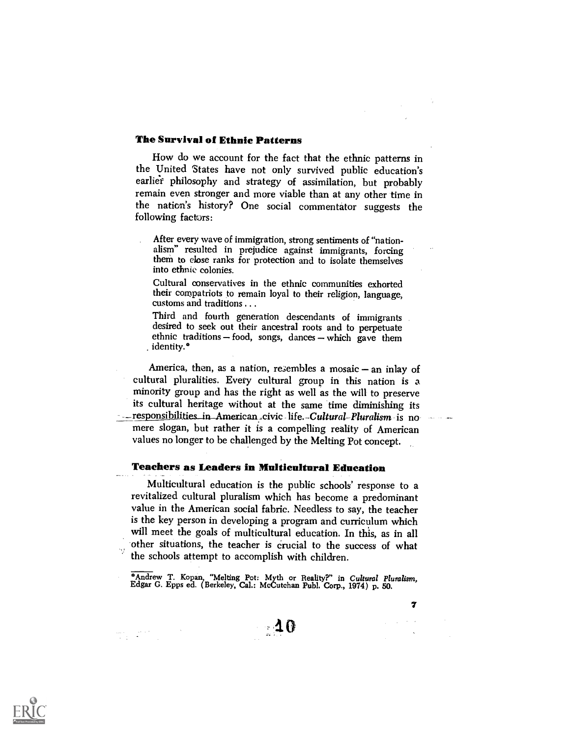#### The Survival of Ethnic Patterns

How do we account for the fact that the ethnic patterns in the United States have not only survived public education's earlier philosophy and strategy of assimilation, but probably remain even stronger and more viable than at any other time in the nation's history? One social commentator suggests the following factors:

After every wave of immigration, strong sentiments of "nationalism" resulted in prejudice against immigrants, forcing them to dose ranks for protection and to isolate themselves into ethnic colonies.

Cultural conservatives in the ethnic communities exhorted their compatriots to remain loyal to their religion, language, customs and traditions .. .

Third and fourth generation descendants of immigrants desired to seek out their ancestral roots and to perpetuate ethnic traditions  $-$  food, songs, dances  $-$  which gave them identity.°

America, then, as a nation, resembles a mosaic  $-$  an inlay of cultural pluralities. Every cultural group in this nation is a minority group and has the right as well as the will to preserve its cultural heritage without at the same time diminishing its - responsibilities\_in\_American.civic life.-Cultural-Pluralism is no mere slogan, but rather it is a compelling reality of American values no longer to be challenged by the Melting Pot concept.

## Teachers as Leaders in Multicultural Education

Multicultural education is the public schools' response to a revitalized cultural pluralism which has become a predominant value in the American social fabric. Needless to say, the teacher is the key person in developing a program and curriculum which will meet the goals of multicultural education. In this, as in all other situations, the teacher is crucial to the success of what the schools attempt to accomplish with children.

°Andrew T. Kopan, "Melting Pot: Myth or Reality'?" in Cultural Pluralism, Edgar C. Epps ed. (Berkeley, Cal.: McCutchan Publ. Corp., 1974) p. 50.



and Company<br>Sentra Company

7 $\mathcal{L}^{\text{max}}$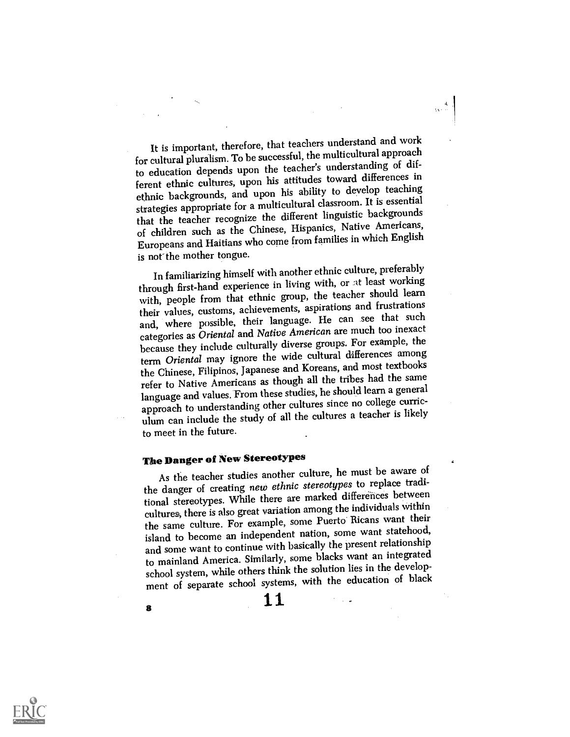It is important, therefore, that teachers understand and work for cultural pluralism. To be successful, the multicultural approach to education depends upon the teacher's understanding of different ethnic cultures, upon his attitudes toward differences in ethnic backgrounds, and upon his ability to develop teaching strategies appropriate for a multicultural classroom. It is essential that the teacher recognize the different linguistic backgrounds of children such as the Chinese, Hispanics, Native Americans, Europeans and Haitians who come from families in which English is not the mother tongue.

In familiarizing himself with another ethnic culture, preferably through first-hand experience in living with, or at least working with, people from that ethnic group, the teaeher should learn their values, customs, achievements, aspirations and frustrations and, where possible, their language. He can see that such categories as Oriental and Native American are much too inexact because they include culturally diverse groups. For example, the term Oriental may ignore the wide cultural differences among the Chinese, Filipinos, Japanese and Koreans, and most textbooks refer to Native Americans as though all the tribes had the same language and values. From these studies, he should learn a general approach to understanding other cultures since no college curriculum can include the study of all the cultures a teacher is likely to meet in the future.

# The Danger of New Stereotypes

As the teacher studies another culture, he must be aware of the danger of creating new ethnic stereotypes to replace traditional stereotypes. While there are marked differences between cultures, there is also great variation among the individuals within the same culture. For example, some Puerto Ricans want their island to become an independent nation, some want statehood, and some want to continue with basically the present relationship to mainland America. Similarly, some blacks want an integrated school system, while others think the solution lies in the development of separate school systems, with the education of black

 $\frac{11}{2}$ 



 $\ddot{\phantom{a}}$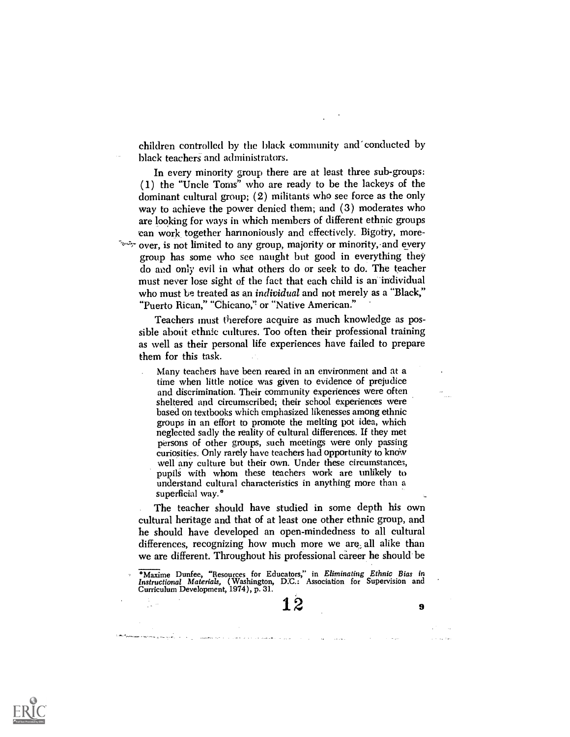children controlled by the bhick community and conducted by black teachers and administrators.

In every minority group there are at least three sub-groups: (1) the "Uncle Toms" who are ready to be the lackeys of the dominant cultural group; (2) militants who see force as the only way to achieve the power denied them; and (3) moderates who are looking for ways in which members of different ethnic groups can work, together harmoniously and effectively. Bigotry, moreover, is not limited to any group, majority or minority, and every group has some who see naught but good in everything they do and only evil in what others do or seek to do. The teacher must never lose sight of the fact that each child is an-individual who must be treated as an *individual* and not merely as a "Black," "Puerto Rican," "Chicano?' or "Native American."

Teachers inust therefore acquire as much knowledge as possible about ethnic cultures. Too often their professional training as well as their personal life experiences have failed to prepare them for this task.

Many teachers have been reared in an environment and at a time when little notice was given to evidence of prejudice and discrimination. Their community experiences were often sheltered and circumscribed; their school experiences were based on textbooks which emphasized likenesses among ethnic groups in an effort to promote the melting pot idea, which neglected sadly the reality of cultural differences. If they met persons of other groups, such meetings were only passing curiosities. Only rarely have teachers had opportunity to know well any culture but their own. Under these circumstances, pupils with whom these teachers work are unlikely to understand cultural characteristics in anything more than a superficial way.°

The teacher should have studied in some depth his own cultural heritage and that of at least one other ethnic group, and he should have developed an open-mindedness to all cultural differences, recognizing how much more we are; all alike than we are different. Throughout his professional career he should be

°Maxime Dunfee, "Resources for Educators," in Eliminating Ethnic Bias in Instructional Materials, (Washington, D.C.: Association for Supervision and Curriculum Development, 1974 ), p. 31.

assembles that is a constant of the constant effect of the particle of the

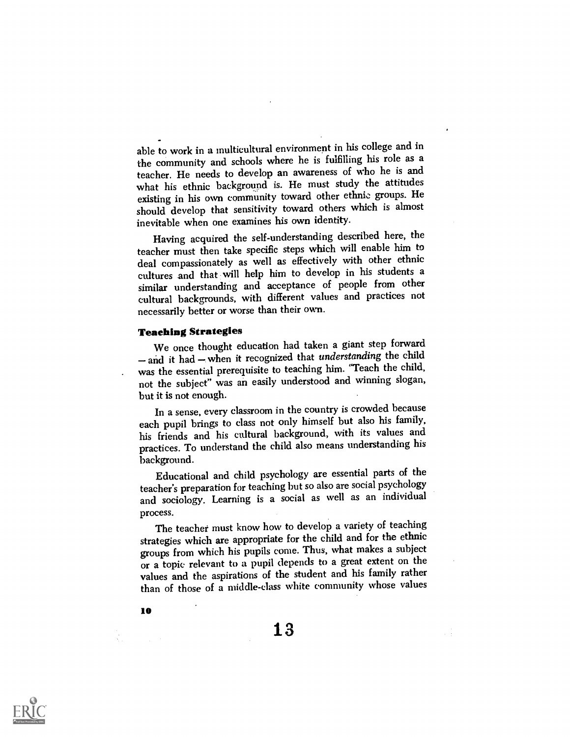able to work in a multicultural environment in his college and in the community and schools where he is fulfilling his role as a teacher. He needs to develop an awareness of who he is and what his ethnic background is. He must study the attitudes existing in his own community toward other ethnic groups. He should develop that sensitivity toward others which is almost inevitable when one examines his own identity.

Having acquired the self-understanding described here, the teacher must then take specific steps which will enable him to deal compassionately as well as effectively with other ethnic cultures and that will help him to develop in his students a similar understanding and acceptance of people from other cultural backgrounds, with different values and practices not necessarily better or worse than their own.

#### Teaching Strategies

We once thought education had taken a giant step forward - and it had - when it recognized that understanding the child was the essential prerequisite to teaching him. "Teach the child, not the subject" was an easily understood and winning slogan, but it is not enough.

In a sense, every classroom in the country is crowded because each pupil brings to class not only himself but also his family, his friends and his cultural background, with its values and practices. To understand the child also means understanding his background.

Educational and child psychology are essential parts of the teacher's preparation for teaching but so also are social psychology and sociology. Learning is a social as well as an individual process.

The teacher must know how to develop a variety of teaching strategies which are appropriate for the child and for the ethnic groups from which his pupils come. Thus, what makes a subject or a topic relevant to a pupil depends to a great extent on the values and the aspirations of the student and his family rather than of those of a middle-class white community whose values

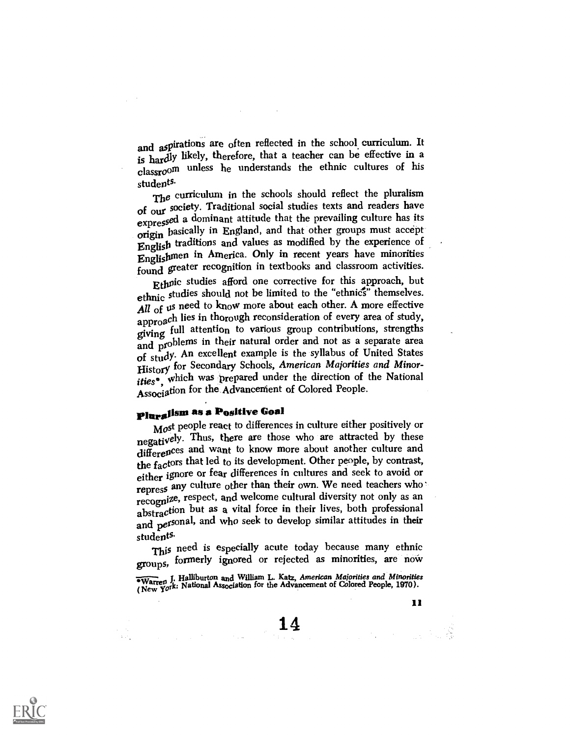and aspirations are often reflected in the school curriculum. It is hardly likely, therefore, that a teacher can be effective in a classroom unless he understands the ethnic cultures of his students.

The curriculum in the schools should reflect the pluralism of our society. Traditional social studies texts and readers have<br>expressed a dominant attitude that the prevailing culture has its origin basically in England, and that other groups must accept English traditions and values as modified by the experience of Englishmen in America. Only in recent years have minorities found greater recognition in textbooks and classroom activities.

Ethuic studies afford one corrective for this approach, but ethnic studies should not be limited to the "ethnics" themselves. All of us need to know more about each other. A more effective approach lies in thorough reconsideration of every area of study, giving full attention to various group contributions, strengths and problems in their natural order and not as a separate area of stutlY An excellent example is the syllabus of United States History for Secondary Schools, American Majorities and Minorities°, which was prepared under the direction of the National Association for the Advancernent of Colored People.

# Pluralism as a Positive Goal

Most people react to differences in culture either positively or negatively. Thus, there are those who are attracted by these differences and want to know more about another culture and the factors that led to its development. Other people, by contrast, either ignore or fear differences in cultures and seek to avoid or repress any culture other than their own. We need teachers who recognize, respect, and welcome cultural diversity not only as an abstraction but as a vital force in their lives, both professional and personal, and who seek to develop similar attitudes in their students.

This need is especially acute today because many ethnic groups, formerly ignored or rejected as minorities, are now

 $\overline{\text{w}}$  J. Halliburton and William L. Katz, American Majorities and Minorities Warren  $\gamma$ : National Association for the Advancement of Colored People, 1970).

11